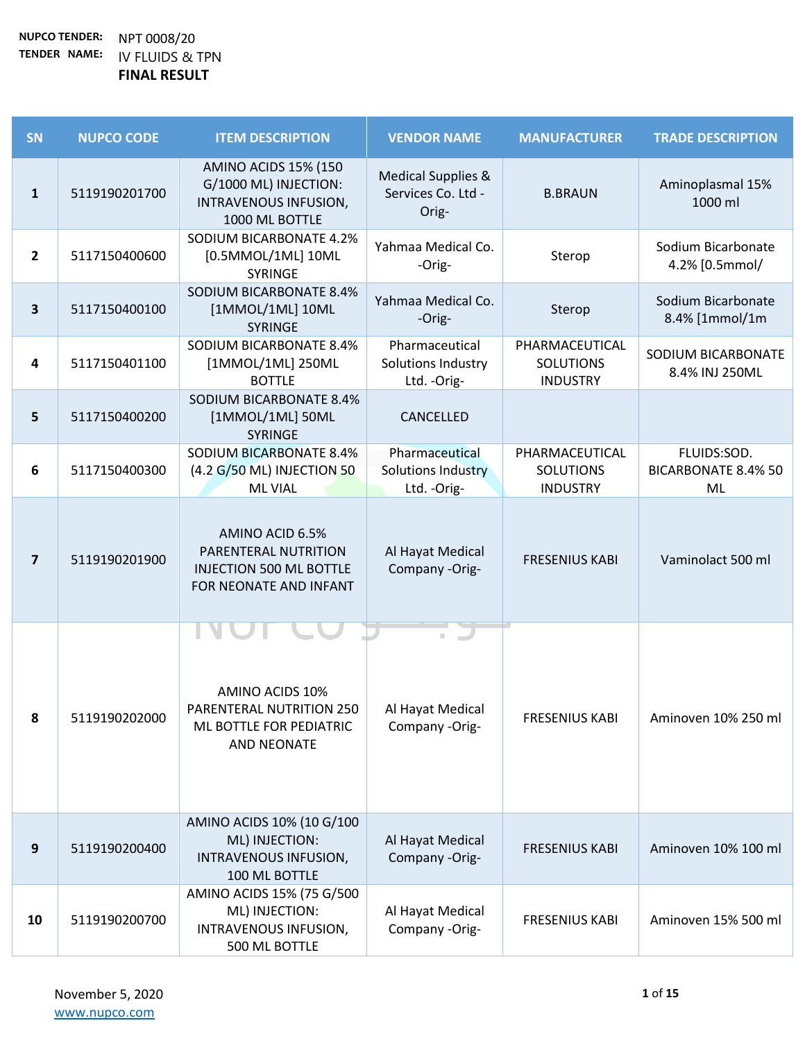| SN                      | <b>NUPCO CODE</b> | <b>ITEM DESCRIPTION</b>                                                                             | <b>VENDOR NAME</b>                                           | <b>MANUFACTURER</b>                                   | <b>TRADE DESCRIPTION</b>                        |
|-------------------------|-------------------|-----------------------------------------------------------------------------------------------------|--------------------------------------------------------------|-------------------------------------------------------|-------------------------------------------------|
| $\mathbf{1}$            | 5119190201700     | <b>AMINO ACIDS 15% (150</b><br>G/1000 ML) INJECTION:<br>INTRAVENOUS INFUSION,<br>1000 ML BOTTLE     | <b>Medical Supplies &amp;</b><br>Services Co. Ltd -<br>Orig- | <b>B.BRAUN</b>                                        | Aminoplasmal 15%<br>1000 ml                     |
| $\mathbf{2}$            | 5117150400600     | <b>SODIUM BICARBONATE 4.2%</b><br>[0.5MMOL/1ML] 10ML<br>SYRINGE                                     | Yahmaa Medical Co.<br>-Orig-                                 | Sterop                                                | Sodium Bicarbonate<br>4.2% [0.5mmol/            |
| 3                       | 5117150400100     | <b>SODIUM BICARBONATE 8.4%</b><br>[1MMOL/1ML] 10ML<br><b>SYRINGE</b>                                | Yahmaa Medical Co.<br>-Orig-                                 | Sterop                                                | Sodium Bicarbonate<br>8.4% [1mmol/1m            |
| $\overline{\mathbf{4}}$ | 5117150401100     | SODIUM BICARBONATE 8.4%<br>[1MMOL/1ML] 250ML<br><b>BOTTLE</b>                                       | Pharmaceutical<br>Solutions Industry<br>Ltd. - Orig-         | PHARMACEUTICAL<br><b>SOLUTIONS</b><br><b>INDUSTRY</b> | SODIUM BICARBONATE<br>8.4% INJ 250ML            |
| 5                       | 5117150400200     | SODIUM BICARBONATE 8.4%<br>[1MMOL/1ML] 50ML<br><b>SYRINGE</b>                                       | CANCELLED                                                    |                                                       |                                                 |
| 6                       | 5117150400300     | <b>SODIUM BICARBONATE 8.4%</b><br>(4.2 G/50 ML) INJECTION 50<br><b>ML VIAL</b>                      | Pharmaceutical<br><b>Solutions Industry</b><br>Ltd. - Orig-  | PHARMACEUTICAL<br><b>SOLUTIONS</b><br><b>INDUSTRY</b> | FLUIDS:SOD.<br><b>BICARBONATE 8.4% 50</b><br>ML |
| $\overline{\mathbf{z}}$ | 5119190201900     | AMINO ACID 6.5%<br>PARENTERAL NUTRITION<br><b>INJECTION 500 ML BOTTLE</b><br>FOR NEONATE AND INFANT | Al Hayat Medical<br>Company -Orig-                           | <b>FRESENIUS KABI</b>                                 | Vaminolact 500 ml                               |
| 8                       | 5119190202000     | AMINO ACIDS 10%<br>PARENTERAL NUTRITION 250<br>ML BOTTLE FOR PEDIATRIC<br><b>AND NEONATE</b>        | Al Hayat Medical<br>Company -Orig-                           | <b>FRESENIUS KABI</b>                                 | Aminoven 10% 250 ml                             |
| 9                       | 5119190200400     | AMINO ACIDS 10% (10 G/100<br>ML) INJECTION:<br>INTRAVENOUS INFUSION,<br>100 ML BOTTLE               | Al Hayat Medical<br>Company -Orig-                           | <b>FRESENIUS KABI</b>                                 | Aminoven 10% 100 ml                             |
| 10                      | 5119190200700     | AMINO ACIDS 15% (75 G/500<br>ML) INJECTION:<br>INTRAVENOUS INFUSION,<br>500 ML BOTTLE               | Al Hayat Medical<br>Company -Orig-                           | <b>FRESENIUS KABI</b>                                 | Aminoven 15% 500 ml                             |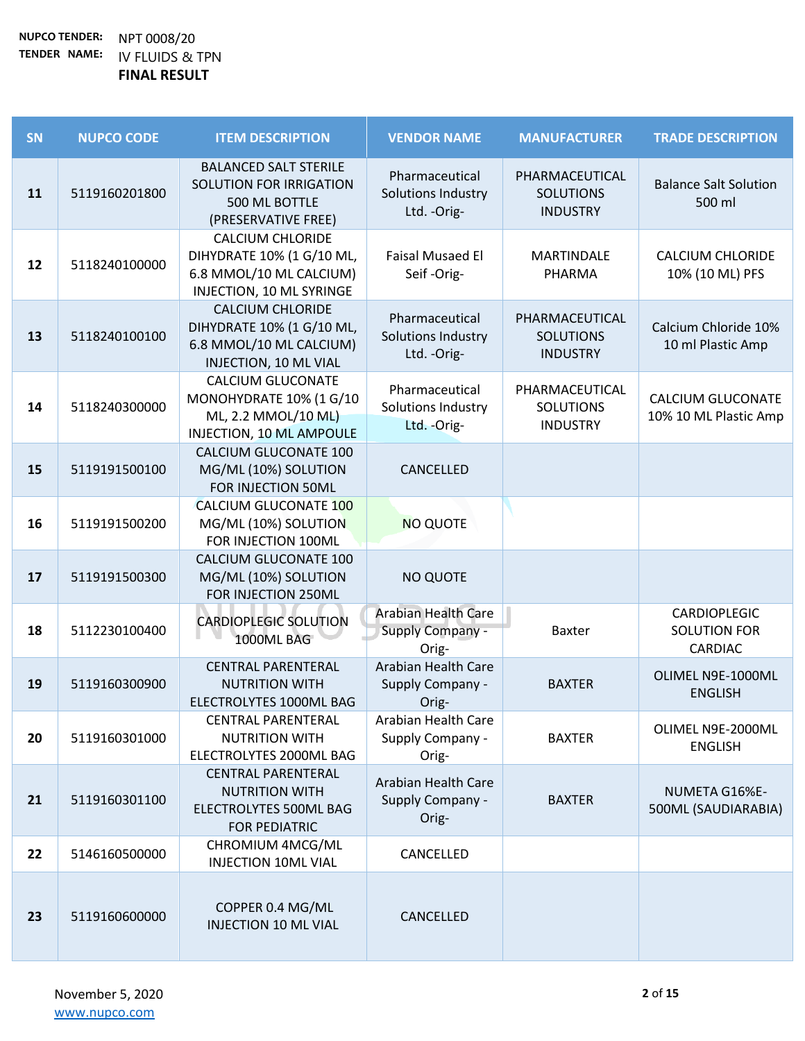| SN | <b>NUPCO CODE</b> | <b>ITEM DESCRIPTION</b>                                                                                     | <b>VENDOR NAME</b>                                      | <b>MANUFACTURER</b>                                   | <b>TRADE DESCRIPTION</b>                       |
|----|-------------------|-------------------------------------------------------------------------------------------------------------|---------------------------------------------------------|-------------------------------------------------------|------------------------------------------------|
| 11 | 5119160201800     | <b>BALANCED SALT STERILE</b><br>SOLUTION FOR IRRIGATION<br>500 ML BOTTLE<br>(PRESERVATIVE FREE)             | Pharmaceutical<br>Solutions Industry<br>Ltd. - Orig-    | PHARMACEUTICAL<br><b>SOLUTIONS</b><br><b>INDUSTRY</b> | <b>Balance Salt Solution</b><br>500 ml         |
| 12 | 5118240100000     | <b>CALCIUM CHLORIDE</b><br>DIHYDRATE 10% (1 G/10 ML,<br>6.8 MMOL/10 ML CALCIUM)<br>INJECTION, 10 ML SYRINGE | <b>Faisal Musaed El</b><br>Seif-Orig-                   | <b>MARTINDALE</b><br>PHARMA                           | <b>CALCIUM CHLORIDE</b><br>10% (10 ML) PFS     |
| 13 | 5118240100100     | <b>CALCIUM CHLORIDE</b><br>DIHYDRATE 10% (1 G/10 ML,<br>6.8 MMOL/10 ML CALCIUM)<br>INJECTION, 10 ML VIAL    | Pharmaceutical<br>Solutions Industry<br>Ltd. - Orig-    | PHARMACEUTICAL<br><b>SOLUTIONS</b><br><b>INDUSTRY</b> | Calcium Chloride 10%<br>10 ml Plastic Amp      |
| 14 | 5118240300000     | <b>CALCIUM GLUCONATE</b><br>MONOHYDRATE 10% (1 G/10<br>ML, 2.2 MMOL/10 ML)<br>INJECTION, 10 ML AMPOULE      | Pharmaceutical<br>Solutions Industry<br>Ltd. - Orig-    | PHARMACEUTICAL<br><b>SOLUTIONS</b><br><b>INDUSTRY</b> | CALCIUM GLUCONATE<br>10% 10 ML Plastic Amp     |
| 15 | 5119191500100     | CALCIUM GLUCONATE 100<br>MG/ML (10%) SOLUTION<br>FOR INJECTION 50ML                                         | CANCELLED                                               |                                                       |                                                |
| 16 | 5119191500200     | CALCIUM GLUCONATE 100<br>MG/ML (10%) SOLUTION<br>FOR INJECTION 100ML                                        | <b>NO QUOTE</b>                                         |                                                       |                                                |
| 17 | 5119191500300     | CALCIUM GLUCONATE 100<br>MG/ML (10%) SOLUTION<br>FOR INJECTION 250ML                                        | <b>NO QUOTE</b>                                         |                                                       |                                                |
| 18 | 5112230100400     | <b>CARDIOPLEGIC SOLUTION</b><br>1000ML BAG                                                                  | Arabian Health Care<br>Supply Company -<br>Orig-        | Baxter                                                | CARDIOPLEGIC<br><b>SOLUTION FOR</b><br>CARDIAC |
| 19 | 5119160300900     | <b>CENTRAL PARENTERAL</b><br><b>NUTRITION WITH</b><br>ELECTROLYTES 1000ML BAG                               | <b>Arabian Health Care</b><br>Supply Company -<br>Orig- | <b>BAXTER</b>                                         | OLIMEL N9E-1000ML<br><b>ENGLISH</b>            |
| 20 | 5119160301000     | <b>CENTRAL PARENTERAL</b><br><b>NUTRITION WITH</b><br>ELECTROLYTES 2000ML BAG                               | Arabian Health Care<br>Supply Company -<br>Orig-        | <b>BAXTER</b>                                         | OLIMEL N9E-2000ML<br><b>ENGLISH</b>            |
| 21 | 5119160301100     | <b>CENTRAL PARENTERAL</b><br><b>NUTRITION WITH</b><br>ELECTROLYTES 500ML BAG<br><b>FOR PEDIATRIC</b>        | Arabian Health Care<br><b>Supply Company -</b><br>Orig- | <b>BAXTER</b>                                         | NUMETA G16%E-<br>500ML (SAUDIARABIA)           |
| 22 | 5146160500000     | CHROMIUM 4MCG/ML<br><b>INJECTION 10ML VIAL</b>                                                              | CANCELLED                                               |                                                       |                                                |
| 23 | 5119160600000     | COPPER 0.4 MG/ML<br><b>INJECTION 10 ML VIAL</b>                                                             | CANCELLED                                               |                                                       |                                                |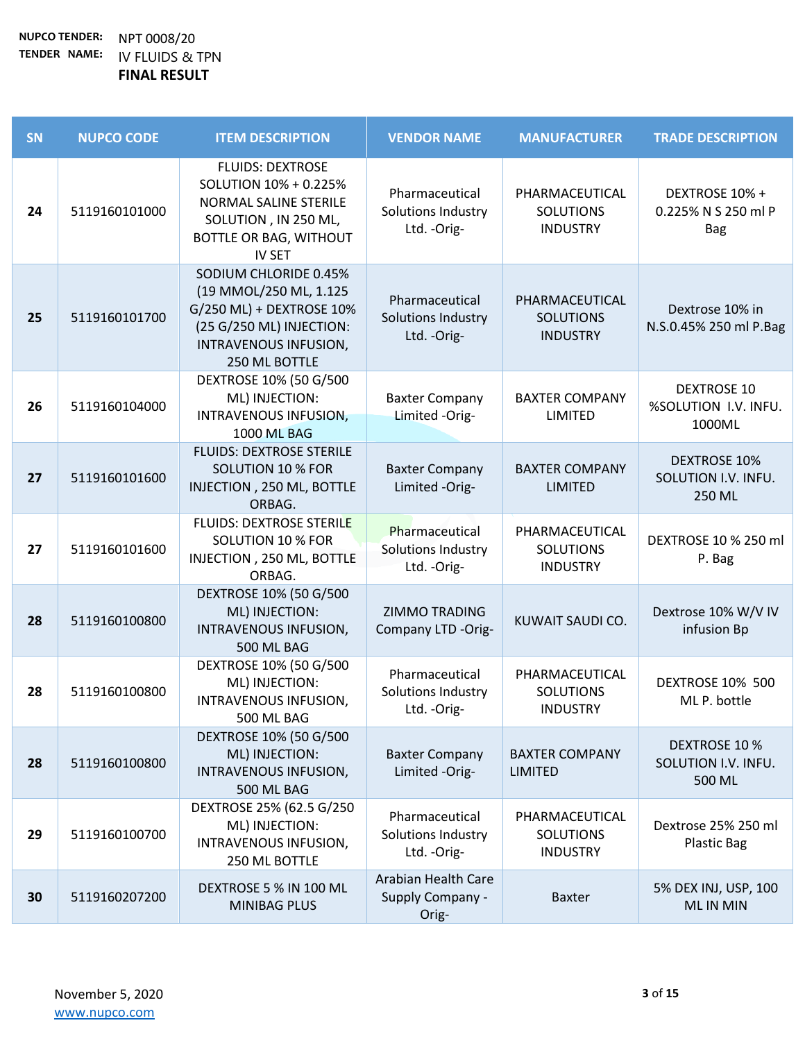| SN | <b>NUPCO CODE</b> | <b>ITEM DESCRIPTION</b>                                                                                                                           | <b>VENDOR NAME</b>                                      | <b>MANUFACTURER</b>                                   | <b>TRADE DESCRIPTION</b>                              |
|----|-------------------|---------------------------------------------------------------------------------------------------------------------------------------------------|---------------------------------------------------------|-------------------------------------------------------|-------------------------------------------------------|
| 24 | 5119160101000     | <b>FLUIDS: DEXTROSE</b><br>SOLUTION 10% + 0.225%<br>NORMAL SALINE STERILE<br>SOLUTION, IN 250 ML,<br>BOTTLE OR BAG, WITHOUT<br><b>IV SET</b>      | Pharmaceutical<br>Solutions Industry<br>Ltd. - Orig-    | PHARMACEUTICAL<br><b>SOLUTIONS</b><br><b>INDUSTRY</b> | DEXTROSE 10% +<br>0.225% N S 250 ml P<br><b>Bag</b>   |
| 25 | 5119160101700     | SODIUM CHLORIDE 0.45%<br>(19 MMOL/250 ML, 1.125<br>G/250 ML) + DEXTROSE 10%<br>(25 G/250 ML) INJECTION:<br>INTRAVENOUS INFUSION,<br>250 ML BOTTLE | Pharmaceutical<br>Solutions Industry<br>Ltd. - Orig-    | PHARMACEUTICAL<br><b>SOLUTIONS</b><br><b>INDUSTRY</b> | Dextrose 10% in<br>N.S.0.45% 250 ml P.Bag             |
| 26 | 5119160104000     | DEXTROSE 10% (50 G/500<br>ML) INJECTION:<br>INTRAVENOUS INFUSION,<br><b>1000 ML BAG</b>                                                           | <b>Baxter Company</b><br>Limited -Orig-                 | <b>BAXTER COMPANY</b><br>LIMITED                      | <b>DEXTROSE 10</b><br>%SOLUTION I.V. INFU.<br>1000ML  |
| 27 | 5119160101600     | <b>FLUIDS: DEXTROSE STERILE</b><br><b>SOLUTION 10 % FOR</b><br>INJECTION, 250 ML, BOTTLE<br>ORBAG.                                                | <b>Baxter Company</b><br>Limited -Orig-                 | <b>BAXTER COMPANY</b><br><b>LIMITED</b>               | <b>DEXTROSE 10%</b><br>SOLUTION I.V. INFU.<br>250 ML  |
| 27 | 5119160101600     | <b>FLUIDS: DEXTROSE STERILE</b><br><b>SOLUTION 10 % FOR</b><br>INJECTION, 250 ML, BOTTLE<br>ORBAG.                                                | Pharmaceutical<br>Solutions Industry<br>Ltd. - Orig-    | PHARMACEUTICAL<br><b>SOLUTIONS</b><br><b>INDUSTRY</b> | DEXTROSE 10 % 250 ml<br>P. Bag                        |
| 28 | 5119160100800     | DEXTROSE 10% (50 G/500<br>ML) INJECTION:<br>INTRAVENOUS INFUSION,<br>500 ML BAG                                                                   | <b>ZIMMO TRADING</b><br>Company LTD -Orig-              | KUWAIT SAUDI CO.                                      | Dextrose 10% W/V IV<br>infusion Bp                    |
| 28 | 5119160100800     | DEXTROSE 10% (50 G/500<br>ML) INJECTION:<br>INTRAVENOUS INFUSION,<br>500 ML BAG                                                                   | Pharmaceutical<br>Solutions Industry<br>Ltd. - Orig-    | PHARMACEUTICAL<br><b>SOLUTIONS</b><br><b>INDUSTRY</b> | <b>DEXTROSE 10% 500</b><br>ML P. bottle               |
| 28 | 5119160100800     | DEXTROSE 10% (50 G/500<br>ML) INJECTION:<br>INTRAVENOUS INFUSION,<br>500 ML BAG                                                                   | <b>Baxter Company</b><br>Limited -Orig-                 | <b>BAXTER COMPANY</b><br><b>LIMITED</b>               | <b>DEXTROSE 10 %</b><br>SOLUTION I.V. INFU.<br>500 ML |
| 29 | 5119160100700     | DEXTROSE 25% (62.5 G/250<br>ML) INJECTION:<br>INTRAVENOUS INFUSION,<br>250 ML BOTTLE                                                              | Pharmaceutical<br>Solutions Industry<br>Ltd. - Orig-    | PHARMACEUTICAL<br><b>SOLUTIONS</b><br><b>INDUSTRY</b> | Dextrose 25% 250 ml<br><b>Plastic Bag</b>             |
| 30 | 5119160207200     | DEXTROSE 5 % IN 100 ML<br>MINIBAG PLUS                                                                                                            | Arabian Health Care<br><b>Supply Company -</b><br>Orig- | <b>Baxter</b>                                         | 5% DEX INJ, USP, 100<br><b>MLIN MIN</b>               |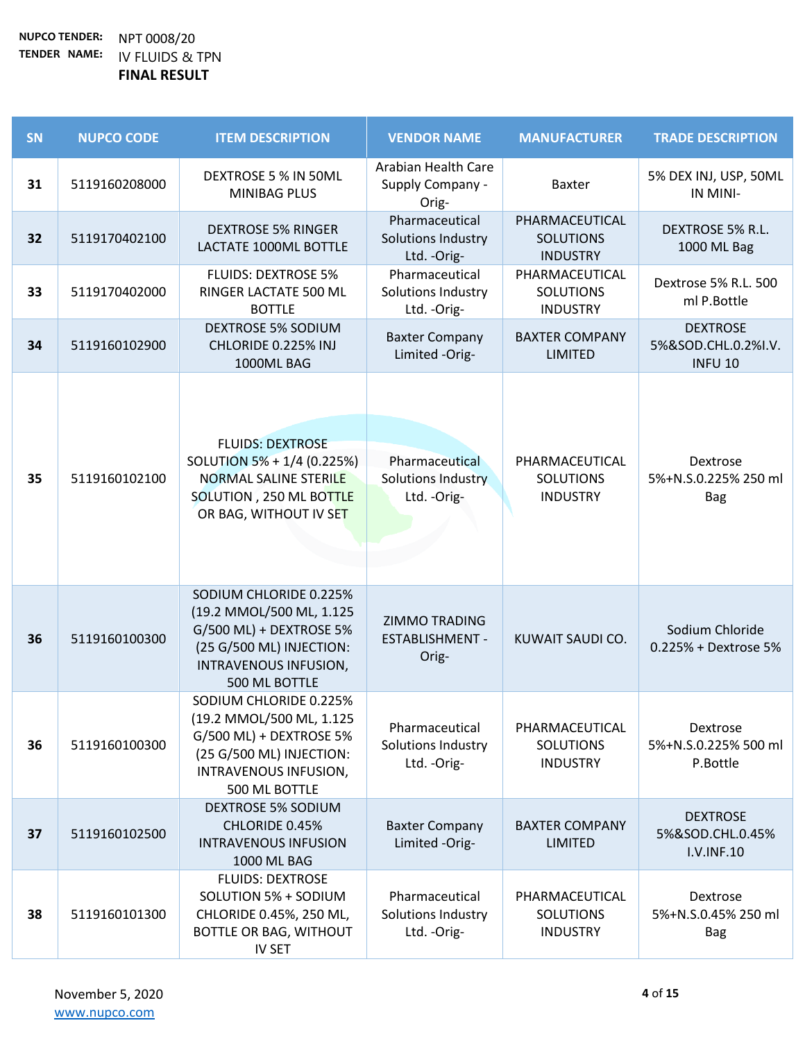| SN | <b>NUPCO CODE</b> | <b>ITEM DESCRIPTION</b>                                                                                                                             | <b>VENDOR NAME</b>                                          | <b>MANUFACTURER</b>                                   | <b>TRADE DESCRIPTION</b>                                 |
|----|-------------------|-----------------------------------------------------------------------------------------------------------------------------------------------------|-------------------------------------------------------------|-------------------------------------------------------|----------------------------------------------------------|
| 31 | 5119160208000     | DEXTROSE 5 % IN 50ML<br><b>MINIBAG PLUS</b>                                                                                                         | Arabian Health Care<br>Supply Company -<br>Orig-            | <b>Baxter</b>                                         | 5% DEX INJ, USP, 50ML<br>IN MINI-                        |
| 32 | 5119170402100     | <b>DEXTROSE 5% RINGER</b><br>LACTATE 1000ML BOTTLE                                                                                                  | Pharmaceutical<br>Solutions Industry<br>Ltd. - Orig-        | PHARMACEUTICAL<br><b>SOLUTIONS</b><br><b>INDUSTRY</b> | DEXTROSE 5% R.L.<br>1000 ML Bag                          |
| 33 | 5119170402000     | <b>FLUIDS: DEXTROSE 5%</b><br>RINGER LACTATE 500 ML<br><b>BOTTLE</b>                                                                                | Pharmaceutical<br>Solutions Industry<br>Ltd. - Orig-        | PHARMACEUTICAL<br><b>SOLUTIONS</b><br><b>INDUSTRY</b> | Dextrose 5% R.L. 500<br>ml P.Bottle                      |
| 34 | 5119160102900     | <b>DEXTROSE 5% SODIUM</b><br>CHLORIDE 0.225% INJ<br>1000ML BAG                                                                                      | <b>Baxter Company</b><br>Limited -Orig-                     | <b>BAXTER COMPANY</b><br><b>LIMITED</b>               | <b>DEXTROSE</b><br>5%&SOD.CHL.0.2%I.V.<br><b>INFU 10</b> |
| 35 | 5119160102100     | <b>FLUIDS: DEXTROSE</b><br>SOLUTION 5% + 1/4 (0.225%)<br><b>NORMAL SALINE STERILE</b><br>SOLUTION, 250 ML BOTTLE<br>OR BAG, WITHOUT IV SET          | Pharmaceutical<br><b>Solutions Industry</b><br>Ltd. - Orig- | PHARMACEUTICAL<br><b>SOLUTIONS</b><br><b>INDUSTRY</b> | Dextrose<br>5%+N.S.0.225% 250 ml<br><b>Bag</b>           |
| 36 | 5119160100300     | SODIUM CHLORIDE 0.225%<br>(19.2 MMOL/500 ML, 1.125<br>G/500 ML) + DEXTROSE 5%<br>(25 G/500 ML) INJECTION:<br>INTRAVENOUS INFUSION,<br>500 ML BOTTLE | <b>ZIMMO TRADING</b><br><b>ESTABLISHMENT -</b><br>Orig-     | KUWAIT SAUDI CO.                                      | Sodium Chloride<br>0.225% + Dextrose 5%                  |
| 36 | 5119160100300     | SODIUM CHLORIDE 0.225%<br>(19.2 MMOL/500 ML, 1.125<br>G/500 ML) + DEXTROSE 5%<br>(25 G/500 ML) INJECTION:<br>INTRAVENOUS INFUSION,<br>500 ML BOTTLE | Pharmaceutical<br>Solutions Industry<br>Ltd. - Orig-        | PHARMACEUTICAL<br><b>SOLUTIONS</b><br><b>INDUSTRY</b> | Dextrose<br>5%+N.S.0.225% 500 ml<br>P.Bottle             |
| 37 | 5119160102500     | <b>DEXTROSE 5% SODIUM</b><br>CHLORIDE 0.45%<br><b>INTRAVENOUS INFUSION</b><br>1000 ML BAG                                                           | <b>Baxter Company</b><br>Limited -Orig-                     | <b>BAXTER COMPANY</b><br><b>LIMITED</b>               | <b>DEXTROSE</b><br>5%&SOD.CHL.0.45%<br><b>I.V.INF.10</b> |
| 38 | 5119160101300     | <b>FLUIDS: DEXTROSE</b><br>SOLUTION 5% + SODIUM<br>CHLORIDE 0.45%, 250 ML,<br>BOTTLE OR BAG, WITHOUT<br><b>IV SET</b>                               | Pharmaceutical<br>Solutions Industry<br>Ltd. - Orig-        | PHARMACEUTICAL<br><b>SOLUTIONS</b><br><b>INDUSTRY</b> | Dextrose<br>5%+N.S.0.45% 250 ml<br><b>Bag</b>            |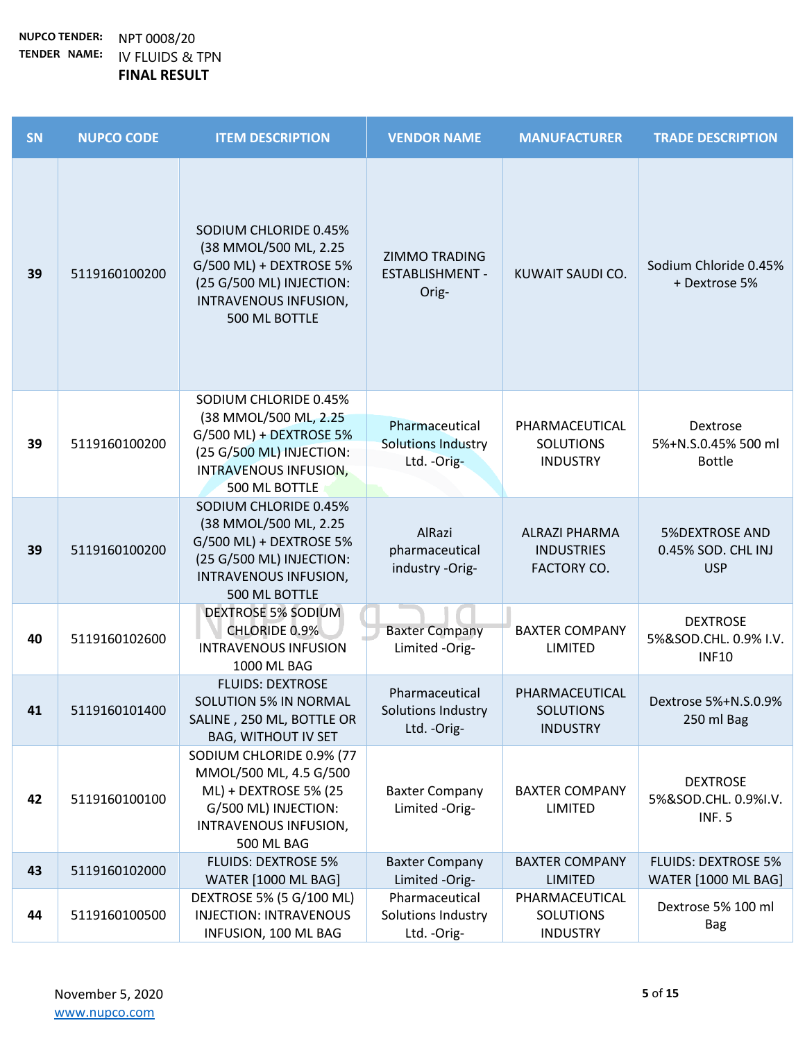| <b>SN</b> | <b>NUPCO CODE</b> | <b>ITEM DESCRIPTION</b>                                                                                                                           | <b>VENDOR NAME</b>                                          | <b>MANUFACTURER</b>                                             | <b>TRADE DESCRIPTION</b>                                  |
|-----------|-------------------|---------------------------------------------------------------------------------------------------------------------------------------------------|-------------------------------------------------------------|-----------------------------------------------------------------|-----------------------------------------------------------|
| 39        | 5119160100200     | SODIUM CHLORIDE 0.45%<br>(38 MMOL/500 ML, 2.25<br>G/500 ML) + DEXTROSE 5%<br>(25 G/500 ML) INJECTION:<br>INTRAVENOUS INFUSION,<br>500 ML BOTTLE   | <b>ZIMMO TRADING</b><br><b>ESTABLISHMENT -</b><br>Orig-     | KUWAIT SAUDI CO.                                                | Sodium Chloride 0.45%<br>+ Dextrose 5%                    |
| 39        | 5119160100200     | SODIUM CHLORIDE 0.45%<br>(38 MMOL/500 ML, 2.25<br>$G/500$ ML) + DEXTROSE 5%<br>(25 G/500 ML) INJECTION:<br>INTRAVENOUS INFUSION,<br>500 ML BOTTLE | Pharmaceutical<br><b>Solutions Industry</b><br>Ltd. - Orig- | PHARMACEUTICAL<br><b>SOLUTIONS</b><br><b>INDUSTRY</b>           | Dextrose<br>5%+N.S.0.45% 500 ml<br><b>Bottle</b>          |
| 39        | 5119160100200     | SODIUM CHLORIDE 0.45%<br>(38 MMOL/500 ML, 2.25<br>G/500 ML) + DEXTROSE 5%<br>(25 G/500 ML) INJECTION:<br>INTRAVENOUS INFUSION,<br>500 ML BOTTLE   | AlRazi<br>pharmaceutical<br>industry -Orig-                 | <b>ALRAZI PHARMA</b><br><b>INDUSTRIES</b><br><b>FACTORY CO.</b> | <b>5%DEXTROSE AND</b><br>0.45% SOD. CHL INJ<br><b>USP</b> |
| 40        | 5119160102600     | <b>DEXTROSE 5% SODIUM</b><br>CHLORIDE 0.9%<br><b>INTRAVENOUS INFUSION</b><br>1000 ML BAG                                                          | <b>Baxter Company</b><br>Limited -Orig-                     | <b>BAXTER COMPANY</b><br>LIMITED                                | <b>DEXTROSE</b><br>5%&SOD.CHL. 0.9% I.V.<br><b>INF10</b>  |
| 41        | 5119160101400     | <b>FLUIDS: DEXTROSE</b><br><b>SOLUTION 5% IN NORMAL</b><br>SALINE, 250 ML, BOTTLE OR<br><b>BAG, WITHOUT IV SET</b>                                | Pharmaceutical<br>Solutions Industry<br>Ltd. - Orig-        | PHARMACEUTICAL<br><b>SOLUTIONS</b><br><b>INDUSTRY</b>           | Dextrose 5%+N.S.0.9%<br>250 ml Bag                        |
| 42        | 5119160100100     | SODIUM CHLORIDE 0.9% (77<br>MMOL/500 ML, 4.5 G/500<br>ML) + DEXTROSE 5% (25<br>G/500 ML) INJECTION:<br>INTRAVENOUS INFUSION,<br>500 ML BAG        | <b>Baxter Company</b><br>Limited -Orig-                     | <b>BAXTER COMPANY</b><br><b>LIMITED</b>                         | <b>DEXTROSE</b><br>5%&SOD.CHL. 0.9%I.V.<br><b>INF. 5</b>  |
| 43        | 5119160102000     | <b>FLUIDS: DEXTROSE 5%</b><br><b>WATER [1000 ML BAG]</b>                                                                                          | <b>Baxter Company</b><br>Limited -Orig-                     | <b>BAXTER COMPANY</b><br><b>LIMITED</b>                         | <b>FLUIDS: DEXTROSE 5%</b><br><b>WATER [1000 ML BAG]</b>  |
| 44        | 5119160100500     | DEXTROSE 5% (5 G/100 ML)<br><b>INJECTION: INTRAVENOUS</b><br>INFUSION, 100 ML BAG                                                                 | Pharmaceutical<br>Solutions Industry<br>Ltd. - Orig-        | PHARMACEUTICAL<br><b>SOLUTIONS</b><br><b>INDUSTRY</b>           | Dextrose 5% 100 ml<br><b>Bag</b>                          |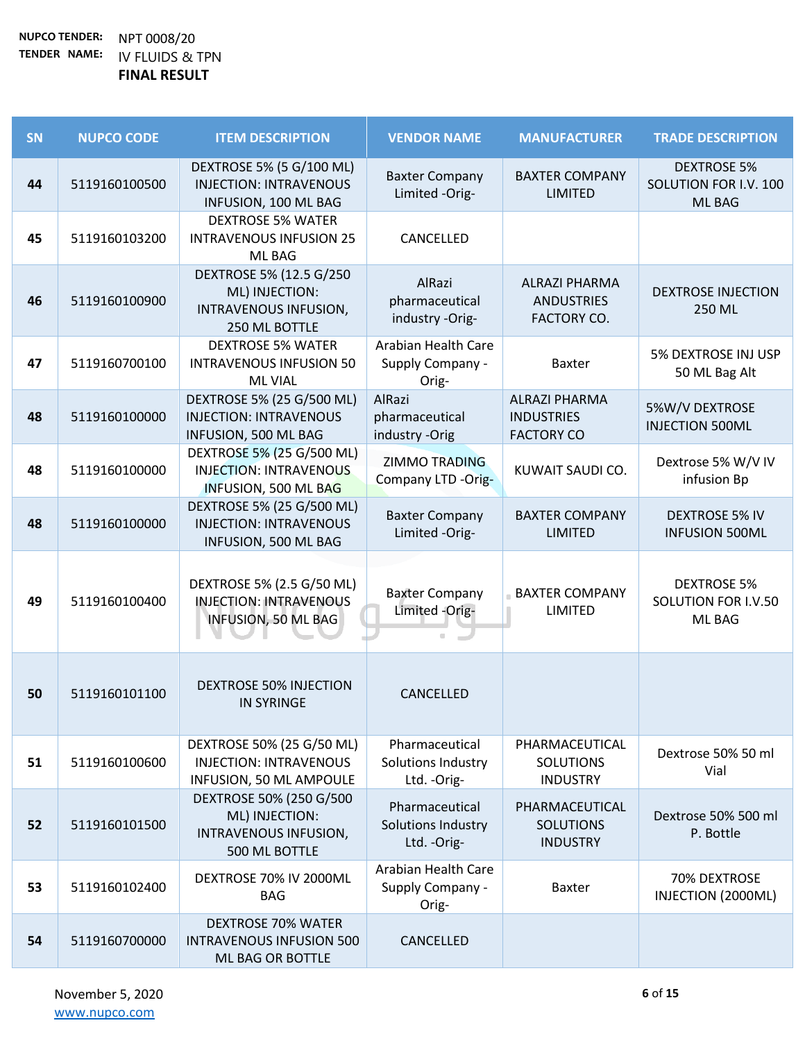| SN | <b>NUPCO CODE</b> | <b>ITEM DESCRIPTION</b>                                                                      | <b>VENDOR NAME</b>                                      | <b>MANUFACTURER</b>                                             | <b>TRADE DESCRIPTION</b>                                     |
|----|-------------------|----------------------------------------------------------------------------------------------|---------------------------------------------------------|-----------------------------------------------------------------|--------------------------------------------------------------|
| 44 | 5119160100500     | DEXTROSE 5% (5 G/100 ML)<br><b>INJECTION: INTRAVENOUS</b><br>INFUSION, 100 ML BAG            | <b>Baxter Company</b><br>Limited -Orig-                 | <b>BAXTER COMPANY</b><br><b>LIMITED</b>                         | <b>DEXTROSE 5%</b><br>SOLUTION FOR I.V. 100<br><b>ML BAG</b> |
| 45 | 5119160103200     | <b>DEXTROSE 5% WATER</b><br><b>INTRAVENOUS INFUSION 25</b><br>ML BAG                         | CANCELLED                                               |                                                                 |                                                              |
| 46 | 5119160100900     | DEXTROSE 5% (12.5 G/250<br>ML) INJECTION:<br>INTRAVENOUS INFUSION,<br>250 ML BOTTLE          | AlRazi<br>pharmaceutical<br>industry -Orig-             | <b>ALRAZI PHARMA</b><br><b>ANDUSTRIES</b><br><b>FACTORY CO.</b> | <b>DEXTROSE INJECTION</b><br>250 ML                          |
| 47 | 5119160700100     | <b>DEXTROSE 5% WATER</b><br><b>INTRAVENOUS INFUSION 50</b><br><b>ML VIAL</b>                 | Arabian Health Care<br>Supply Company -<br>Orig-        | <b>Baxter</b>                                                   | 5% DEXTROSE INJ USP<br>50 ML Bag Alt                         |
| 48 | 5119160100000     | DEXTROSE 5% (25 G/500 ML)<br><b>INJECTION: INTRAVENOUS</b><br>INFUSION, 500 ML BAG           | AlRazi<br>pharmaceutical<br>industry -Orig              | <b>ALRAZI PHARMA</b><br><b>INDUSTRIES</b><br><b>FACTORY CO</b>  | 5%W/V DEXTROSE<br><b>INJECTION 500ML</b>                     |
| 48 | 5119160100000     | DEXTROSE 5% (25 G/500 ML)<br><b>INJECTION: INTRAVENOUS</b><br>INFUSION, 500 ML BAG           | <b>ZIMMO TRADING</b><br>Company LTD -Orig-              | KUWAIT SAUDI CO.                                                | Dextrose 5% W/V IV<br>infusion Bp                            |
| 48 | 5119160100000     | DEXTROSE 5% (25 G/500 ML)<br><b>INJECTION: INTRAVENOUS</b><br>INFUSION, 500 ML BAG           | <b>Baxter Company</b><br>Limited -Orig-                 | <b>BAXTER COMPANY</b><br><b>LIMITED</b>                         | <b>DEXTROSE 5% IV</b><br><b>INFUSION 500ML</b>               |
| 49 | 5119160100400     | DEXTROSE 5% (2.5 G/50 ML)<br><b>INJECTION: INTRAVENOUS</b><br>INFUSION, 50 ML BAG            | <b>Baxter Company</b><br>Limited -Orig-                 | <b>BAXTER COMPANY</b><br>LIMITED                                | <b>DEXTROSE 5%</b><br>SOLUTION FOR I.V.50<br>ML BAG          |
| 50 | 5119160101100     | <b>DEXTROSE 50% INJECTION</b><br><b>IN SYRINGE</b>                                           | CANCELLED                                               |                                                                 |                                                              |
| 51 | 5119160100600     | DEXTROSE 50% (25 G/50 ML)<br><b>INJECTION: INTRAVENOUS</b><br><b>INFUSION, 50 ML AMPOULE</b> | Pharmaceutical<br>Solutions Industry<br>Ltd. - Orig-    | PHARMACEUTICAL<br><b>SOLUTIONS</b><br><b>INDUSTRY</b>           | Dextrose 50% 50 ml<br>Vial                                   |
| 52 | 5119160101500     | DEXTROSE 50% (250 G/500<br>ML) INJECTION:<br>INTRAVENOUS INFUSION,<br>500 ML BOTTLE          | Pharmaceutical<br>Solutions Industry<br>Ltd. - Orig-    | PHARMACEUTICAL<br><b>SOLUTIONS</b><br><b>INDUSTRY</b>           | Dextrose 50% 500 ml<br>P. Bottle                             |
| 53 | 5119160102400     | DEXTROSE 70% IV 2000ML<br><b>BAG</b>                                                         | <b>Arabian Health Care</b><br>Supply Company -<br>Orig- | <b>Baxter</b>                                                   | 70% DEXTROSE<br>INJECTION (2000ML)                           |
| 54 | 5119160700000     | <b>DEXTROSE 70% WATER</b><br><b>INTRAVENOUS INFUSION 500</b><br>ML BAG OR BOTTLE             | CANCELLED                                               |                                                                 |                                                              |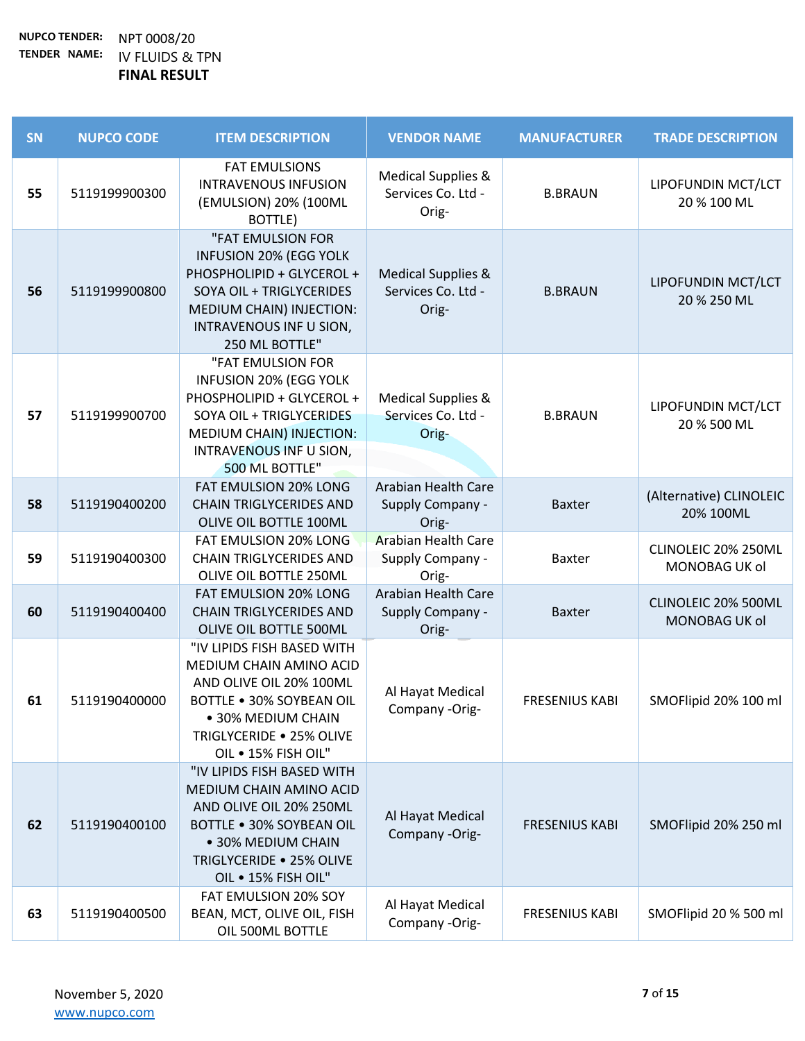| SN | <b>NUPCO CODE</b> | <b>ITEM DESCRIPTION</b>                                                                                                                                                                      | <b>VENDOR NAME</b>                                           | <b>MANUFACTURER</b>   | <b>TRADE DESCRIPTION</b>             |
|----|-------------------|----------------------------------------------------------------------------------------------------------------------------------------------------------------------------------------------|--------------------------------------------------------------|-----------------------|--------------------------------------|
| 55 | 5119199900300     | <b>FAT EMULSIONS</b><br><b>INTRAVENOUS INFUSION</b><br>(EMULSION) 20% (100ML<br>BOTTLE)                                                                                                      | <b>Medical Supplies &amp;</b><br>Services Co. Ltd -<br>Orig- | <b>B.BRAUN</b>        | LIPOFUNDIN MCT/LCT<br>20 % 100 ML    |
| 56 | 5119199900800     | "FAT EMULSION FOR<br><b>INFUSION 20% (EGG YOLK</b><br>PHOSPHOLIPID + GLYCEROL +<br>SOYA OIL + TRIGLYCERIDES<br>MEDIUM CHAIN) INJECTION:<br>INTRAVENOUS INF U SION,<br>250 ML BOTTLE"         | <b>Medical Supplies &amp;</b><br>Services Co. Ltd -<br>Orig- | <b>B.BRAUN</b>        | LIPOFUNDIN MCT/LCT<br>20 % 250 ML    |
| 57 | 5119199900700     | "FAT EMULSION FOR<br><b>INFUSION 20% (EGG YOLK</b><br>PHOSPHOLIPID + GLYCEROL +<br>SOYA OIL + TRIGLYCERIDES<br>MEDIUM CHAIN) INJECTION:<br><b>INTRAVENOUS INF U SION,</b><br>500 ML BOTTLE"  | Medical Supplies &<br>Services Co. Ltd -<br>Orig-            | <b>B.BRAUN</b>        | LIPOFUNDIN MCT/LCT<br>20 % 500 ML    |
| 58 | 5119190400200     | FAT EMULSION 20% LONG<br><b>CHAIN TRIGLYCERIDES AND</b><br>OLIVE OIL BOTTLE 100ML                                                                                                            | <b>Arabian Health Care</b><br>Supply Company -<br>Orig-      | <b>Baxter</b>         | (Alternative) CLINOLEIC<br>20% 100ML |
| 59 | 5119190400300     | FAT EMULSION 20% LONG<br><b>CHAIN TRIGLYCERIDES AND</b><br>OLIVE OIL BOTTLE 250ML                                                                                                            | <b>Arabian Health Care</b><br>Supply Company -<br>Orig-      | <b>Baxter</b>         | CLINOLEIC 20% 250ML<br>MONOBAG UK ol |
| 60 | 5119190400400     | FAT EMULSION 20% LONG<br><b>CHAIN TRIGLYCERIDES AND</b><br>OLIVE OIL BOTTLE 500ML                                                                                                            | Arabian Health Care<br>Supply Company -<br>Orig-             | <b>Baxter</b>         | CLINOLEIC 20% 500ML<br>MONOBAG UK ol |
| 61 | 5119190400000     | "IV LIPIDS FISH BASED WITH<br>MEDIUM CHAIN AMINO ACID<br>AND OLIVE OIL 20% 100ML<br><b>BOTTLE . 30% SOYBEAN OIL</b><br>• 30% MEDIUM CHAIN<br>TRIGLYCERIDE . 25% OLIVE<br>OIL . 15% FISH OIL" | Al Hayat Medical<br>Company -Orig-                           | <b>FRESENIUS KABI</b> | SMOFlipid 20% 100 ml                 |
| 62 | 5119190400100     | "IV LIPIDS FISH BASED WITH<br>MEDIUM CHAIN AMINO ACID<br>AND OLIVE OIL 20% 250ML<br><b>BOTTLE . 30% SOYBEAN OIL</b><br>• 30% MEDIUM CHAIN<br>TRIGLYCERIDE . 25% OLIVE<br>OIL . 15% FISH OIL" | Al Hayat Medical<br>Company -Orig-                           | <b>FRESENIUS KABI</b> | SMOFlipid 20% 250 ml                 |
| 63 | 5119190400500     | FAT EMULSION 20% SOY<br>BEAN, MCT, OLIVE OIL, FISH<br>OIL 500ML BOTTLE                                                                                                                       | Al Hayat Medical<br>Company -Orig-                           | <b>FRESENIUS KABI</b> | SMOFlipid 20 % 500 ml                |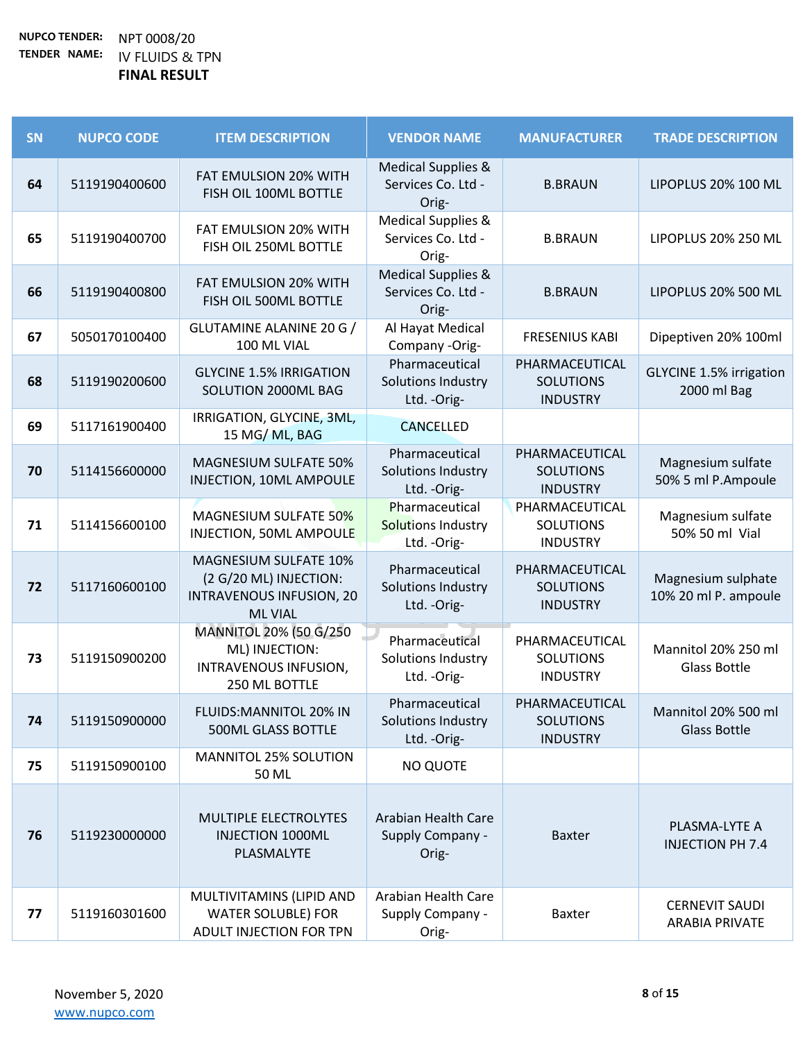| SN | <b>NUPCO CODE</b> | <b>ITEM DESCRIPTION</b>                                                                                     | <b>VENDOR NAME</b>                                           | <b>MANUFACTURER</b>                                   | <b>TRADE DESCRIPTION</b>                       |
|----|-------------------|-------------------------------------------------------------------------------------------------------------|--------------------------------------------------------------|-------------------------------------------------------|------------------------------------------------|
| 64 | 5119190400600     | FAT EMULSION 20% WITH<br>FISH OIL 100ML BOTTLE                                                              | <b>Medical Supplies &amp;</b><br>Services Co. Ltd -<br>Orig- | <b>B.BRAUN</b>                                        | LIPOPLUS 20% 100 ML                            |
| 65 | 5119190400700     | FAT EMULSION 20% WITH<br>FISH OIL 250ML BOTTLE                                                              | <b>Medical Supplies &amp;</b><br>Services Co. Ltd -<br>Orig- | <b>B.BRAUN</b>                                        | LIPOPLUS 20% 250 ML                            |
| 66 | 5119190400800     | FAT EMULSION 20% WITH<br>FISH OIL 500ML BOTTLE                                                              | <b>Medical Supplies &amp;</b><br>Services Co. Ltd -<br>Orig- | <b>B.BRAUN</b>                                        | LIPOPLUS 20% 500 ML                            |
| 67 | 5050170100400     | GLUTAMINE ALANINE 20 G /<br>100 ML VIAL                                                                     | Al Hayat Medical<br>Company -Orig-                           | <b>FRESENIUS KABI</b>                                 | Dipeptiven 20% 100ml                           |
| 68 | 5119190200600     | <b>GLYCINE 1.5% IRRIGATION</b><br>SOLUTION 2000ML BAG                                                       | Pharmaceutical<br>Solutions Industry<br>Ltd. - Orig-         | PHARMACEUTICAL<br><b>SOLUTIONS</b><br><b>INDUSTRY</b> | <b>GLYCINE 1.5% irrigation</b><br>2000 ml Bag  |
| 69 | 5117161900400     | IRRIGATION, GLYCINE, 3ML,<br>15 MG/ML, BAG                                                                  | <b>CANCELLED</b>                                             |                                                       |                                                |
| 70 | 5114156600000     | <b>MAGNESIUM SULFATE 50%</b><br>INJECTION, 10ML AMPOULE                                                     | Pharmaceutical<br>Solutions Industry<br>Ltd. - Orig-         | PHARMACEUTICAL<br><b>SOLUTIONS</b><br><b>INDUSTRY</b> | Magnesium sulfate<br>50% 5 ml P.Ampoule        |
| 71 | 5114156600100     | MAGNESIUM SULFATE 50%<br>INJECTION, 50ML AMPOULE                                                            | Pharmaceutical<br>Solutions Industry<br>Ltd. - Orig-         | PHARMACEUTICAL<br><b>SOLUTIONS</b><br><b>INDUSTRY</b> | Magnesium sulfate<br>50% 50 ml Vial            |
| 72 | 5117160600100     | <b>MAGNESIUM SULFATE 10%</b><br>(2 G/20 ML) INJECTION:<br><b>INTRAVENOUS INFUSION, 20</b><br><b>ML VIAL</b> | Pharmaceutical<br>Solutions Industry<br>Ltd. - Orig-         | PHARMACEUTICAL<br><b>SOLUTIONS</b><br><b>INDUSTRY</b> | Magnesium sulphate<br>10% 20 ml P. ampoule     |
| 73 | 5119150900200     | MANNITOL 20% (50 G/250<br>ML) INJECTION:<br>INTRAVENOUS INFUSION,<br>250 ML BOTTLE                          | Pharmaceutical<br>Solutions Industry<br>Ltd. - Orig-         | PHARMACEUTICAL<br><b>SOLUTIONS</b><br><b>INDUSTRY</b> | Mannitol 20% 250 ml<br><b>Glass Bottle</b>     |
| 74 | 5119150900000     | FLUIDS: MANNITOL 20% IN<br><b>500ML GLASS BOTTLE</b>                                                        | Pharmaceutical<br>Solutions Industry<br>Ltd. - Orig-         | PHARMACEUTICAL<br><b>SOLUTIONS</b><br><b>INDUSTRY</b> | Mannitol 20% 500 ml<br><b>Glass Bottle</b>     |
| 75 | 5119150900100     | MANNITOL 25% SOLUTION<br>50 ML                                                                              | <b>NO QUOTE</b>                                              |                                                       |                                                |
| 76 | 5119230000000     | MULTIPLE ELECTROLYTES<br><b>INJECTION 1000ML</b><br>PLASMALYTE                                              | Arabian Health Care<br>Supply Company -<br>Orig-             | <b>Baxter</b>                                         | PLASMA-LYTE A<br><b>INJECTION PH 7.4</b>       |
| 77 | 5119160301600     | MULTIVITAMINS (LIPID AND<br><b>WATER SOLUBLE) FOR</b><br>ADULT INJECTION FOR TPN                            | Arabian Health Care<br>Supply Company -<br>Orig-             | <b>Baxter</b>                                         | <b>CERNEVIT SAUDI</b><br><b>ARABIA PRIVATE</b> |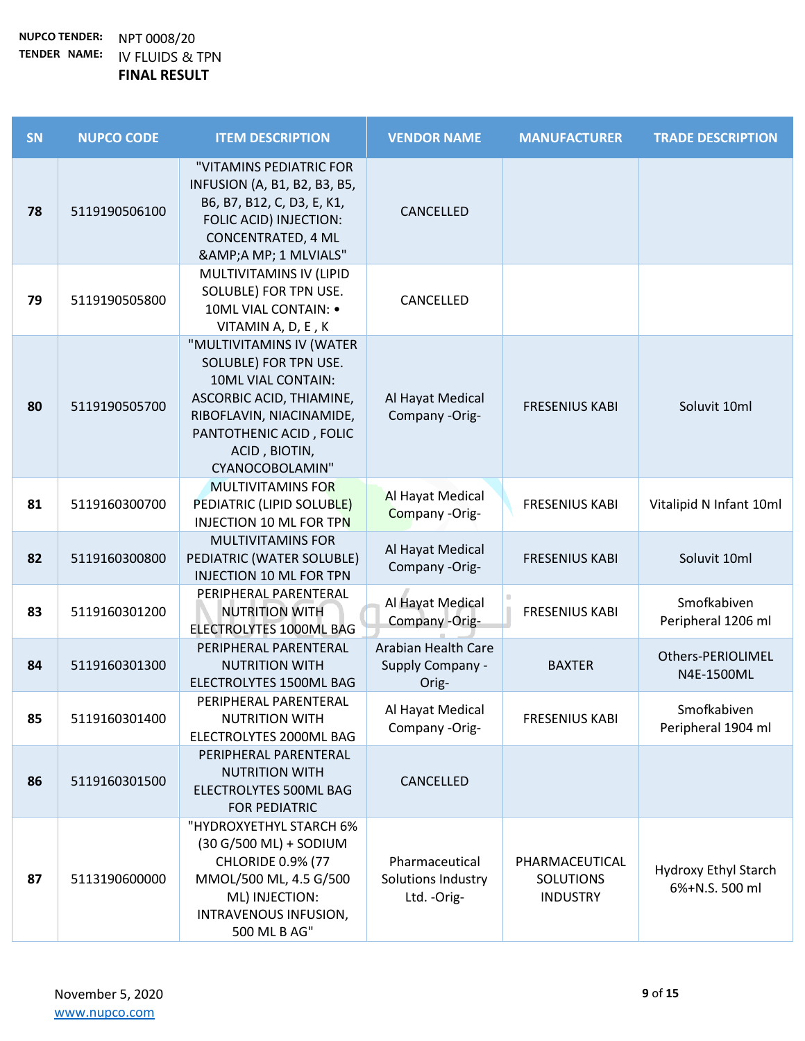| SN | <b>NUPCO CODE</b> | <b>ITEM DESCRIPTION</b>                                                                                                                                                                        | <b>VENDOR NAME</b>                                   | <b>MANUFACTURER</b>                                   | <b>TRADE DESCRIPTION</b>               |
|----|-------------------|------------------------------------------------------------------------------------------------------------------------------------------------------------------------------------------------|------------------------------------------------------|-------------------------------------------------------|----------------------------------------|
| 78 | 5119190506100     | "VITAMINS PEDIATRIC FOR<br>INFUSION (A, B1, B2, B3, B5,<br>B6, B7, B12, C, D3, E, K1,<br>FOLIC ACID) INJECTION:<br><b>CONCENTRATED, 4 ML</b><br>&A MP; 1 MLVIALS"                              | CANCELLED                                            |                                                       |                                        |
| 79 | 5119190505800     | MULTIVITAMINS IV (LIPID<br>SOLUBLE) FOR TPN USE.<br>10ML VIAL CONTAIN: •<br>VITAMIN A, D, E, K                                                                                                 | CANCELLED                                            |                                                       |                                        |
| 80 | 5119190505700     | "MULTIVITAMINS IV (WATER<br>SOLUBLE) FOR TPN USE.<br>10ML VIAL CONTAIN:<br>ASCORBIC ACID, THIAMINE,<br>RIBOFLAVIN, NIACINAMIDE,<br>PANTOTHENIC ACID, FOLIC<br>ACID, BIOTIN,<br>CYANOCOBOLAMIN" | Al Hayat Medical<br>Company -Orig-                   | <b>FRESENIUS KABI</b>                                 | Soluvit 10ml                           |
| 81 | 5119160300700     | <b>MULTIVITAMINS FOR</b><br>PEDIATRIC (LIPID SOLUBLE)<br><b>INJECTION 10 ML FOR TPN</b>                                                                                                        | Al Hayat Medical<br>Company -Orig-                   | <b>FRESENIUS KABI</b>                                 | Vitalipid N Infant 10ml                |
| 82 | 5119160300800     | <b>MULTIVITAMINS FOR</b><br>PEDIATRIC (WATER SOLUBLE)<br><b>INJECTION 10 ML FOR TPN</b>                                                                                                        | Al Hayat Medical<br>Company -Orig-                   | <b>FRESENIUS KABI</b>                                 | Soluvit 10ml                           |
| 83 | 5119160301200     | PERIPHERAL PARENTERAL<br><b>NUTRITION WITH</b><br>ELECTROLYTES 1000ML BAG                                                                                                                      | Al Hayat Medical<br>Company -Orig-                   | <b>FRESENIUS KABI</b>                                 | Smofkabiven<br>Peripheral 1206 ml      |
| 84 | 5119160301300     | PERIPHERAL PARENTERAL<br><b>NUTRITION WITH</b><br>ELECTROLYTES 1500ML BAG                                                                                                                      | Arabian Health Care<br>Supply Company -<br>Orig-     | <b>BAXTER</b>                                         | Others-PERIOLIMEL<br>N4E-1500ML        |
| 85 | 5119160301400     | PERIPHERAL PARENTERAL<br><b>NUTRITION WITH</b><br>ELECTROLYTES 2000ML BAG                                                                                                                      | Al Hayat Medical<br>Company -Orig-                   | <b>FRESENIUS KABI</b>                                 | Smofkabiven<br>Peripheral 1904 ml      |
| 86 | 5119160301500     | PERIPHERAL PARENTERAL<br><b>NUTRITION WITH</b><br>ELECTROLYTES 500ML BAG<br><b>FOR PEDIATRIC</b>                                                                                               | CANCELLED                                            |                                                       |                                        |
| 87 | 5113190600000     | "HYDROXYETHYL STARCH 6%<br>(30 G/500 ML) + SODIUM<br><b>CHLORIDE 0.9% (77</b><br>MMOL/500 ML, 4.5 G/500<br>ML) INJECTION:<br>INTRAVENOUS INFUSION,<br>500 ML B AG"                             | Pharmaceutical<br>Solutions Industry<br>Ltd. - Orig- | PHARMACEUTICAL<br><b>SOLUTIONS</b><br><b>INDUSTRY</b> | Hydroxy Ethyl Starch<br>6%+N.S. 500 ml |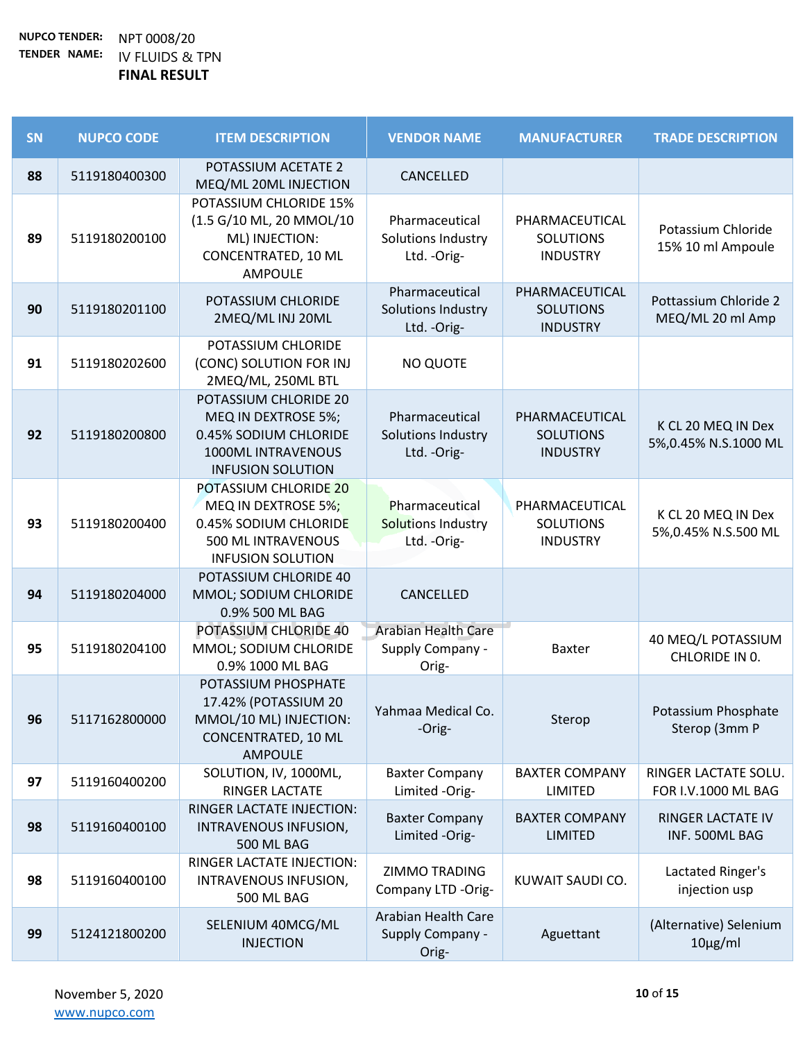| SN | <b>NUPCO CODE</b> | <b>ITEM DESCRIPTION</b>                                                                                                 | <b>VENDOR NAME</b>                                   | <b>MANUFACTURER</b>                                   | <b>TRADE DESCRIPTION</b>                    |
|----|-------------------|-------------------------------------------------------------------------------------------------------------------------|------------------------------------------------------|-------------------------------------------------------|---------------------------------------------|
| 88 | 5119180400300     | POTASSIUM ACETATE 2<br>MEQ/ML 20ML INJECTION                                                                            | CANCELLED                                            |                                                       |                                             |
| 89 | 5119180200100     | POTASSIUM CHLORIDE 15%<br>(1.5 G/10 ML, 20 MMOL/10<br>ML) INJECTION:<br><b>CONCENTRATED, 10 ML</b><br><b>AMPOULE</b>    | Pharmaceutical<br>Solutions Industry<br>Ltd. - Orig- | PHARMACEUTICAL<br><b>SOLUTIONS</b><br><b>INDUSTRY</b> | Potassium Chloride<br>15% 10 ml Ampoule     |
| 90 | 5119180201100     | POTASSIUM CHLORIDE<br>2MEQ/ML INJ 20ML                                                                                  | Pharmaceutical<br>Solutions Industry<br>Ltd. - Orig- | PHARMACEUTICAL<br><b>SOLUTIONS</b><br><b>INDUSTRY</b> | Pottassium Chloride 2<br>MEQ/ML 20 ml Amp   |
| 91 | 5119180202600     | POTASSIUM CHLORIDE<br>(CONC) SOLUTION FOR INJ<br>2MEQ/ML, 250ML BTL                                                     | <b>NO QUOTE</b>                                      |                                                       |                                             |
| 92 | 5119180200800     | POTASSIUM CHLORIDE 20<br>MEQ IN DEXTROSE 5%;<br>0.45% SODIUM CHLORIDE<br>1000ML INTRAVENOUS<br><b>INFUSION SOLUTION</b> | Pharmaceutical<br>Solutions Industry<br>Ltd. - Orig- | PHARMACEUTICAL<br><b>SOLUTIONS</b><br><b>INDUSTRY</b> | K CL 20 MEQ IN Dex<br>5%,0.45% N.S.1000 ML  |
| 93 | 5119180200400     | POTASSIUM CHLORIDE 20<br>MEQ IN DEXTROSE 5%;<br>0.45% SODIUM CHLORIDE<br>500 ML INTRAVENOUS<br><b>INFUSION SOLUTION</b> | Pharmaceutical<br>Solutions Industry<br>Ltd. - Orig- | PHARMACEUTICAL<br><b>SOLUTIONS</b><br><b>INDUSTRY</b> | K CL 20 MEQ IN Dex<br>5%,0.45% N.S.500 ML   |
| 94 | 5119180204000     | POTASSIUM CHLORIDE 40<br>MMOL; SODIUM CHLORIDE<br>0.9% 500 ML BAG                                                       | CANCELLED                                            |                                                       |                                             |
| 95 | 5119180204100     | POTASSIUM CHLORIDE 40<br>MMOL; SODIUM CHLORIDE<br>0.9% 1000 ML BAG                                                      | Arabian Health Care<br>Supply Company -<br>Orig-     | Baxter                                                | 40 MEQ/L POTASSIUM<br>CHLORIDE IN 0.        |
| 96 | 5117162800000     | POTASSIUM PHOSPHATE<br>17.42% (POTASSIUM 20<br>MMOL/10 ML) INJECTION:<br>CONCENTRATED, 10 ML<br><b>AMPOULE</b>          | Yahmaa Medical Co.<br>-Orig-                         | Sterop                                                | Potassium Phosphate<br>Sterop (3mm P        |
| 97 | 5119160400200     | SOLUTION, IV, 1000ML,<br><b>RINGER LACTATE</b>                                                                          | <b>Baxter Company</b><br>Limited -Orig-              | <b>BAXTER COMPANY</b><br>LIMITED                      | RINGER LACTATE SOLU.<br>FOR I.V.1000 ML BAG |
| 98 | 5119160400100     | RINGER LACTATE INJECTION:<br>INTRAVENOUS INFUSION,<br>500 ML BAG                                                        | <b>Baxter Company</b><br>Limited -Orig-              | <b>BAXTER COMPANY</b><br><b>LIMITED</b>               | <b>RINGER LACTATE IV</b><br>INF. 500ML BAG  |
| 98 | 5119160400100     | RINGER LACTATE INJECTION:<br>INTRAVENOUS INFUSION,<br>500 ML BAG                                                        | ZIMMO TRADING<br>Company LTD -Orig-                  | KUWAIT SAUDI CO.                                      | Lactated Ringer's<br>injection usp          |
| 99 | 5124121800200     | SELENIUM 40MCG/ML<br><b>INJECTION</b>                                                                                   | Arabian Health Care<br>Supply Company -<br>Orig-     | Aguettant                                             | (Alternative) Selenium<br>$10\mu g/ml$      |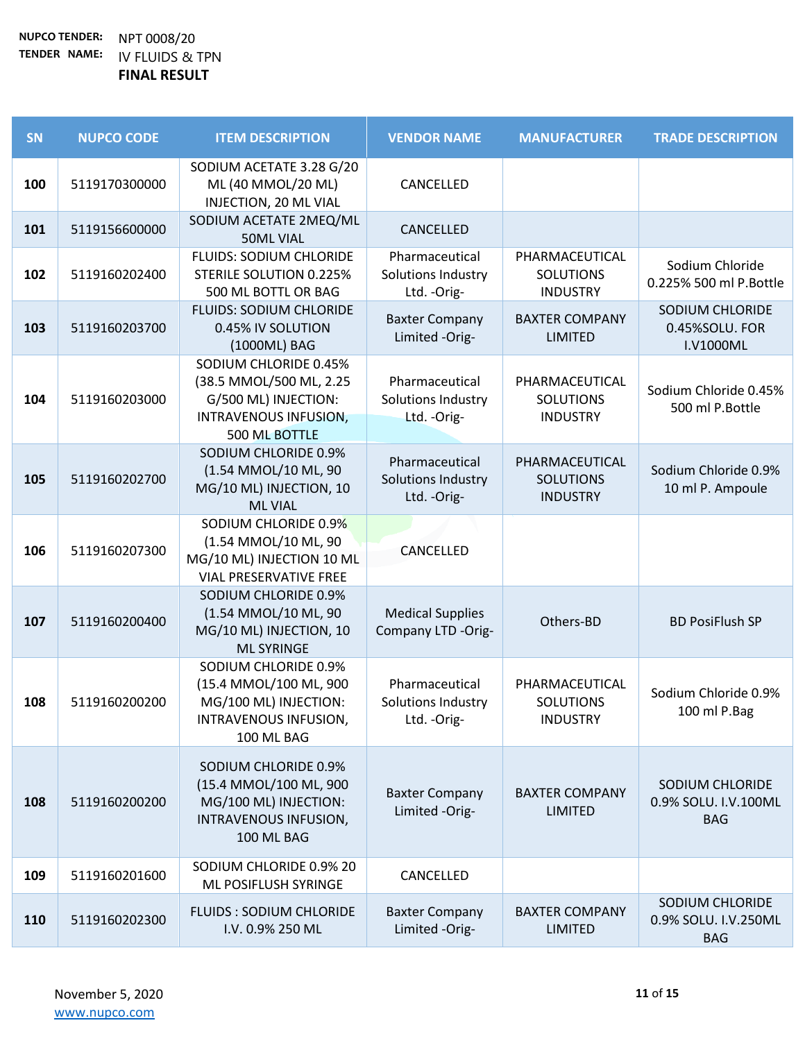| SN  | <b>NUPCO CODE</b> | <b>ITEM DESCRIPTION</b>                                                                                            | <b>VENDOR NAME</b>                                   | <b>MANUFACTURER</b>                                   | <b>TRADE DESCRIPTION</b>                              |
|-----|-------------------|--------------------------------------------------------------------------------------------------------------------|------------------------------------------------------|-------------------------------------------------------|-------------------------------------------------------|
| 100 | 5119170300000     | SODIUM ACETATE 3.28 G/20<br>ML (40 MMOL/20 ML)<br>INJECTION, 20 ML VIAL                                            | CANCELLED                                            |                                                       |                                                       |
| 101 | 5119156600000     | SODIUM ACETATE 2MEQ/ML<br><b>50ML VIAL</b>                                                                         | CANCELLED                                            |                                                       |                                                       |
| 102 | 5119160202400     | <b>FLUIDS: SODIUM CHLORIDE</b><br><b>STERILE SOLUTION 0.225%</b><br>500 ML BOTTL OR BAG                            | Pharmaceutical<br>Solutions Industry<br>Ltd. - Orig- | PHARMACEUTICAL<br><b>SOLUTIONS</b><br><b>INDUSTRY</b> | Sodium Chloride<br>0.225% 500 ml P.Bottle             |
| 103 | 5119160203700     | <b>FLUIDS: SODIUM CHLORIDE</b><br>0.45% IV SOLUTION<br>(1000ML) BAG                                                | <b>Baxter Company</b><br>Limited -Orig-              | <b>BAXTER COMPANY</b><br><b>LIMITED</b>               | SODIUM CHLORIDE<br>0.45%SOLU. FOR<br>I.V1000ML        |
| 104 | 5119160203000     | SODIUM CHLORIDE 0.45%<br>(38.5 MMOL/500 ML, 2.25<br>G/500 ML) INJECTION:<br>INTRAVENOUS INFUSION,<br>500 ML BOTTLE | Pharmaceutical<br>Solutions Industry<br>Ltd. - Orig- | PHARMACEUTICAL<br><b>SOLUTIONS</b><br><b>INDUSTRY</b> | Sodium Chloride 0.45%<br>500 ml P.Bottle              |
| 105 | 5119160202700     | SODIUM CHLORIDE 0.9%<br>(1.54 MMOL/10 ML, 90<br>MG/10 ML) INJECTION, 10<br><b>ML VIAL</b>                          | Pharmaceutical<br>Solutions Industry<br>Ltd. - Orig- | PHARMACEUTICAL<br><b>SOLUTIONS</b><br><b>INDUSTRY</b> | Sodium Chloride 0.9%<br>10 ml P. Ampoule              |
| 106 | 5119160207300     | SODIUM CHLORIDE 0.9%<br>(1.54 MMOL/10 ML, 90<br>MG/10 ML) INJECTION 10 ML<br><b>VIAL PRESERVATIVE FREE</b>         | CANCELLED                                            |                                                       |                                                       |
| 107 | 5119160200400     | SODIUM CHLORIDE 0.9%<br>(1.54 MMOL/10 ML, 90<br>MG/10 ML) INJECTION, 10<br><b>ML SYRINGE</b>                       | <b>Medical Supplies</b><br>Company LTD -Orig-        | Others-BD                                             | <b>BD PosiFlush SP</b>                                |
| 108 | 5119160200200     | SODIUM CHLORIDE 0.9%<br>(15.4 MMOL/100 ML, 900<br>MG/100 ML) INJECTION:<br>INTRAVENOUS INFUSION,<br>100 ML BAG     | Pharmaceutical<br>Solutions Industry<br>Ltd. - Orig- | PHARMACEUTICAL<br><b>SOLUTIONS</b><br><b>INDUSTRY</b> | Sodium Chloride 0.9%<br>100 ml P.Bag                  |
| 108 | 5119160200200     | SODIUM CHLORIDE 0.9%<br>(15.4 MMOL/100 ML, 900<br>MG/100 ML) INJECTION:<br>INTRAVENOUS INFUSION,<br>100 ML BAG     | <b>Baxter Company</b><br>Limited -Orig-              | <b>BAXTER COMPANY</b><br><b>LIMITED</b>               | SODIUM CHLORIDE<br>0.9% SOLU. I.V.100ML<br><b>BAG</b> |
| 109 | 5119160201600     | SODIUM CHLORIDE 0.9% 20<br>ML POSIFLUSH SYRINGE                                                                    | CANCELLED                                            |                                                       |                                                       |
| 110 | 5119160202300     | <b>FLUIDS: SODIUM CHLORIDE</b><br>I.V. 0.9% 250 ML                                                                 | <b>Baxter Company</b><br>Limited -Orig-              | <b>BAXTER COMPANY</b><br><b>LIMITED</b>               | SODIUM CHLORIDE<br>0.9% SOLU. I.V.250ML<br><b>BAG</b> |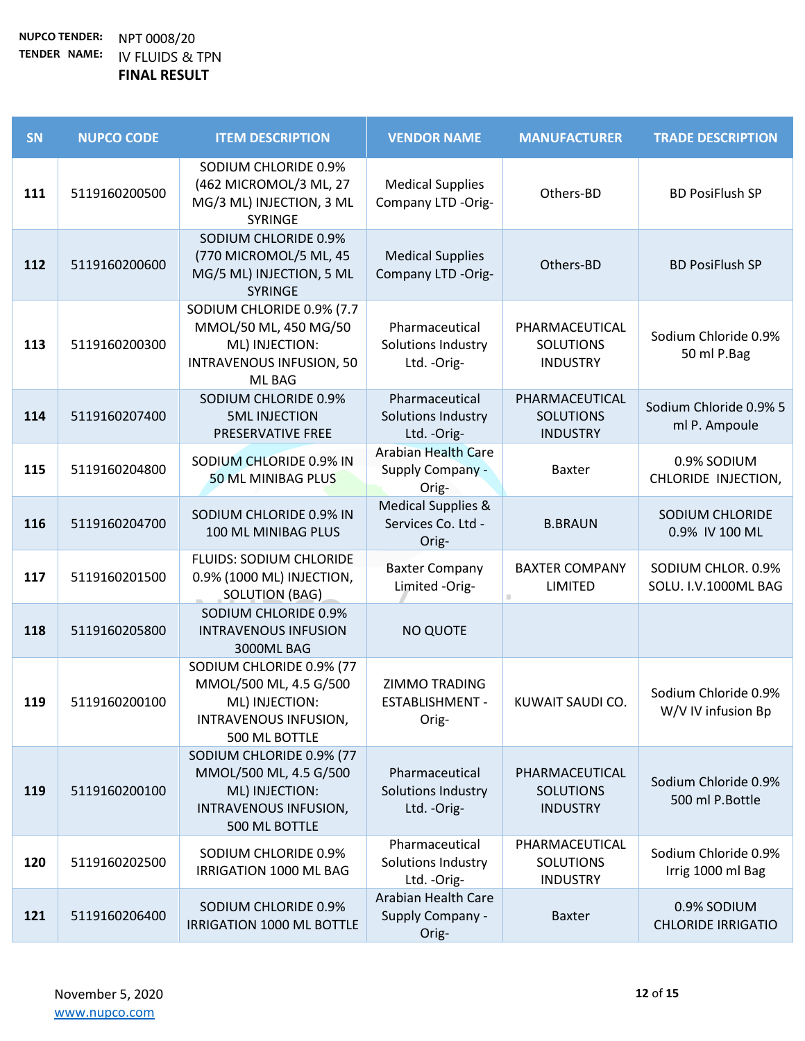| SN  | <b>NUPCO CODE</b> | <b>ITEM DESCRIPTION</b>                                                                                           | <b>VENDOR NAME</b>                                             | <b>MANUFACTURER</b>                                   | <b>TRADE DESCRIPTION</b>                   |
|-----|-------------------|-------------------------------------------------------------------------------------------------------------------|----------------------------------------------------------------|-------------------------------------------------------|--------------------------------------------|
| 111 | 5119160200500     | SODIUM CHLORIDE 0.9%<br>(462 MICROMOL/3 ML, 27<br>MG/3 ML) INJECTION, 3 ML<br>SYRINGE                             | <b>Medical Supplies</b><br>Company LTD -Orig-                  | Others-BD                                             | <b>BD PosiFlush SP</b>                     |
| 112 | 5119160200600     | SODIUM CHLORIDE 0.9%<br>(770 MICROMOL/5 ML, 45<br>MG/5 ML) INJECTION, 5 ML<br>SYRINGE                             | <b>Medical Supplies</b><br>Company LTD -Orig-                  | Others-BD                                             | <b>BD PosiFlush SP</b>                     |
| 113 | 5119160200300     | SODIUM CHLORIDE 0.9% (7.7<br>MMOL/50 ML, 450 MG/50<br>ML) INJECTION:<br><b>INTRAVENOUS INFUSION, 50</b><br>ML BAG | Pharmaceutical<br>Solutions Industry<br>Ltd. - Orig-           | PHARMACEUTICAL<br><b>SOLUTIONS</b><br><b>INDUSTRY</b> | Sodium Chloride 0.9%<br>50 ml P.Bag        |
| 114 | 5119160207400     | SODIUM CHLORIDE 0.9%<br><b>5ML INJECTION</b><br>PRESERVATIVE FREE                                                 | Pharmaceutical<br>Solutions Industry<br>Ltd. - Orig-           | PHARMACEUTICAL<br><b>SOLUTIONS</b><br><b>INDUSTRY</b> | Sodium Chloride 0.9% 5<br>ml P. Ampoule    |
| 115 | 5119160204800     | SODIUM CHLORIDE 0.9% IN<br>50 ML MINIBAG PLUS                                                                     | <b>Arabian Health Care</b><br><b>Supply Company -</b><br>Orig- | Baxter                                                | 0.9% SODIUM<br>CHLORIDE INJECTION,         |
| 116 | 5119160204700     | SODIUM CHLORIDE 0.9% IN<br>100 ML MINIBAG PLUS                                                                    | <b>Medical Supplies &amp;</b><br>Services Co. Ltd -<br>Orig-   | <b>B.BRAUN</b>                                        | SODIUM CHLORIDE<br>0.9% IV 100 ML          |
| 117 | 5119160201500     | <b>FLUIDS: SODIUM CHLORIDE</b><br>0.9% (1000 ML) INJECTION,<br><b>SOLUTION (BAG)</b>                              | <b>Baxter Company</b><br>Limited -Orig-                        | <b>BAXTER COMPANY</b><br><b>LIMITED</b>               | SODIUM CHLOR. 0.9%<br>SOLU. I.V.1000ML BAG |
| 118 | 5119160205800     | SODIUM CHLORIDE 0.9%<br><b>INTRAVENOUS INFUSION</b><br>3000ML BAG                                                 | <b>NO QUOTE</b>                                                |                                                       |                                            |
| 119 | 5119160200100     | SODIUM CHLORIDE 0.9% (77<br>MMOL/500 ML, 4.5 G/500<br>ML) INJECTION:<br>INTRAVENOUS INFUSION,<br>500 ML BOTTLE    | ZIMMO TRADING<br>ESTABLISHMENT -<br>Orig-                      | KUWAIT SAUDI CO.                                      | Sodium Chloride 0.9%<br>W/V IV infusion Bp |
| 119 | 5119160200100     | SODIUM CHLORIDE 0.9% (77<br>MMOL/500 ML, 4.5 G/500<br>ML) INJECTION:<br>INTRAVENOUS INFUSION,<br>500 ML BOTTLE    | Pharmaceutical<br>Solutions Industry<br>Ltd. - Orig-           | PHARMACEUTICAL<br><b>SOLUTIONS</b><br><b>INDUSTRY</b> | Sodium Chloride 0.9%<br>500 ml P.Bottle    |
| 120 | 5119160202500     | SODIUM CHLORIDE 0.9%<br>IRRIGATION 1000 ML BAG                                                                    | Pharmaceutical<br>Solutions Industry<br>Ltd. - Orig-           | PHARMACEUTICAL<br><b>SOLUTIONS</b><br><b>INDUSTRY</b> | Sodium Chloride 0.9%<br>Irrig 1000 ml Bag  |
| 121 | 5119160206400     | SODIUM CHLORIDE 0.9%<br>IRRIGATION 1000 ML BOTTLE                                                                 | Arabian Health Care<br><b>Supply Company -</b><br>Orig-        | <b>Baxter</b>                                         | 0.9% SODIUM<br><b>CHLORIDE IRRIGATIO</b>   |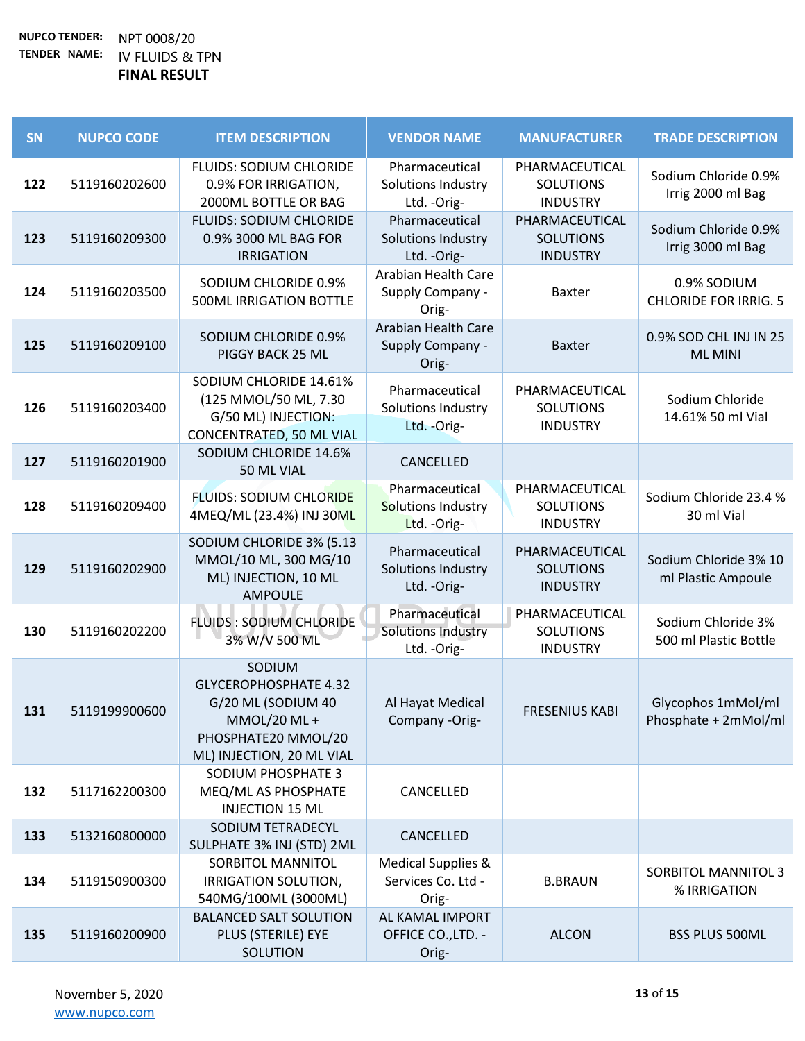| <b>SN</b> | <b>NUPCO CODE</b> | <b>ITEM DESCRIPTION</b>                                                                                                          | <b>VENDOR NAME</b>                                           | <b>MANUFACTURER</b>                                   | <b>TRADE DESCRIPTION</b>                    |
|-----------|-------------------|----------------------------------------------------------------------------------------------------------------------------------|--------------------------------------------------------------|-------------------------------------------------------|---------------------------------------------|
| 122       | 5119160202600     | <b>FLUIDS: SODIUM CHLORIDE</b><br>0.9% FOR IRRIGATION,<br>2000ML BOTTLE OR BAG                                                   | Pharmaceutical<br>Solutions Industry<br>Ltd. - Orig-         | PHARMACEUTICAL<br><b>SOLUTIONS</b><br><b>INDUSTRY</b> | Sodium Chloride 0.9%<br>Irrig 2000 ml Bag   |
| 123       | 5119160209300     | <b>FLUIDS: SODIUM CHLORIDE</b><br>0.9% 3000 ML BAG FOR<br><b>IRRIGATION</b>                                                      | Pharmaceutical<br>Solutions Industry<br>Ltd. - Orig-         | PHARMACEUTICAL<br><b>SOLUTIONS</b><br><b>INDUSTRY</b> | Sodium Chloride 0.9%<br>Irrig 3000 ml Bag   |
| 124       | 5119160203500     | SODIUM CHLORIDE 0.9%<br><b>500ML IRRIGATION BOTTLE</b>                                                                           | Arabian Health Care<br>Supply Company -<br>Orig-             | <b>Baxter</b>                                         | 0.9% SODIUM<br><b>CHLORIDE FOR IRRIG. 5</b> |
| 125       | 5119160209100     | SODIUM CHLORIDE 0.9%<br>PIGGY BACK 25 ML                                                                                         | <b>Arabian Health Care</b><br>Supply Company -<br>Orig-      | <b>Baxter</b>                                         | 0.9% SOD CHL INJ IN 25<br><b>ML MINI</b>    |
| 126       | 5119160203400     | SODIUM CHLORIDE 14.61%<br>(125 MMOL/50 ML, 7.30<br>G/50 ML) INJECTION:<br><b>CONCENTRATED, 50 ML VIAL</b>                        | Pharmaceutical<br>Solutions Industry<br>Ltd. - Orig-         | PHARMACEUTICAL<br><b>SOLUTIONS</b><br><b>INDUSTRY</b> | Sodium Chloride<br>14.61% 50 ml Vial        |
| 127       | 5119160201900     | SODIUM CHLORIDE 14.6%<br>50 ML VIAL                                                                                              | CANCELLED                                                    |                                                       |                                             |
| 128       | 5119160209400     | <b>FLUIDS: SODIUM CHLORIDE</b><br>4MEQ/ML (23.4%) INJ 30ML                                                                       | Pharmaceutical<br>Solutions Industry<br>Ltd. - Orig-         | PHARMACEUTICAL<br><b>SOLUTIONS</b><br><b>INDUSTRY</b> | Sodium Chloride 23.4 %<br>30 ml Vial        |
| 129       | 5119160202900     | SODIUM CHLORIDE 3% (5.13<br>MMOL/10 ML, 300 MG/10<br>ML) INJECTION, 10 ML<br><b>AMPOULE</b>                                      | Pharmaceutical<br>Solutions Industry<br>Ltd. - Orig-         | PHARMACEUTICAL<br><b>SOLUTIONS</b><br><b>INDUSTRY</b> | Sodium Chloride 3% 10<br>ml Plastic Ampoule |
| 130       | 5119160202200     | <b>FLUIDS: SODIUM CHLORIDE</b><br>3% W/V 500 ML                                                                                  | Pharmaceutical<br>Solutions Industry<br>Ltd. - Orig-         | PHARMACEUTICAL<br><b>SOLUTIONS</b><br><b>INDUSTRY</b> | Sodium Chloride 3%<br>500 ml Plastic Bottle |
| 131       | 5119199900600     | SODIUM<br><b>GLYCEROPHOSPHATE 4.32</b><br>G/20 ML (SODIUM 40<br>MMOL/20 ML +<br>PHOSPHATE20 MMOL/20<br>ML) INJECTION, 20 ML VIAL | Al Hayat Medical<br>Company -Orig-                           | <b>FRESENIUS KABI</b>                                 | Glycophos 1mMol/ml<br>Phosphate + 2mMol/ml  |
| 132       | 5117162200300     | SODIUM PHOSPHATE 3<br>MEQ/ML AS PHOSPHATE<br><b>INJECTION 15 ML</b>                                                              | CANCELLED                                                    |                                                       |                                             |
| 133       | 5132160800000     | SODIUM TETRADECYL<br>SULPHATE 3% INJ (STD) 2ML                                                                                   | CANCELLED                                                    |                                                       |                                             |
| 134       | 5119150900300     | SORBITOL MANNITOL<br>IRRIGATION SOLUTION,<br>540MG/100ML (3000ML)                                                                | <b>Medical Supplies &amp;</b><br>Services Co. Ltd -<br>Orig- | <b>B.BRAUN</b>                                        | <b>SORBITOL MANNITOL 3</b><br>% IRRIGATION  |
| 135       | 5119160200900     | <b>BALANCED SALT SOLUTION</b><br>PLUS (STERILE) EYE<br>SOLUTION                                                                  | AL KAMAL IMPORT<br>OFFICE CO., LTD. -<br>Orig-               | <b>ALCON</b>                                          | <b>BSS PLUS 500ML</b>                       |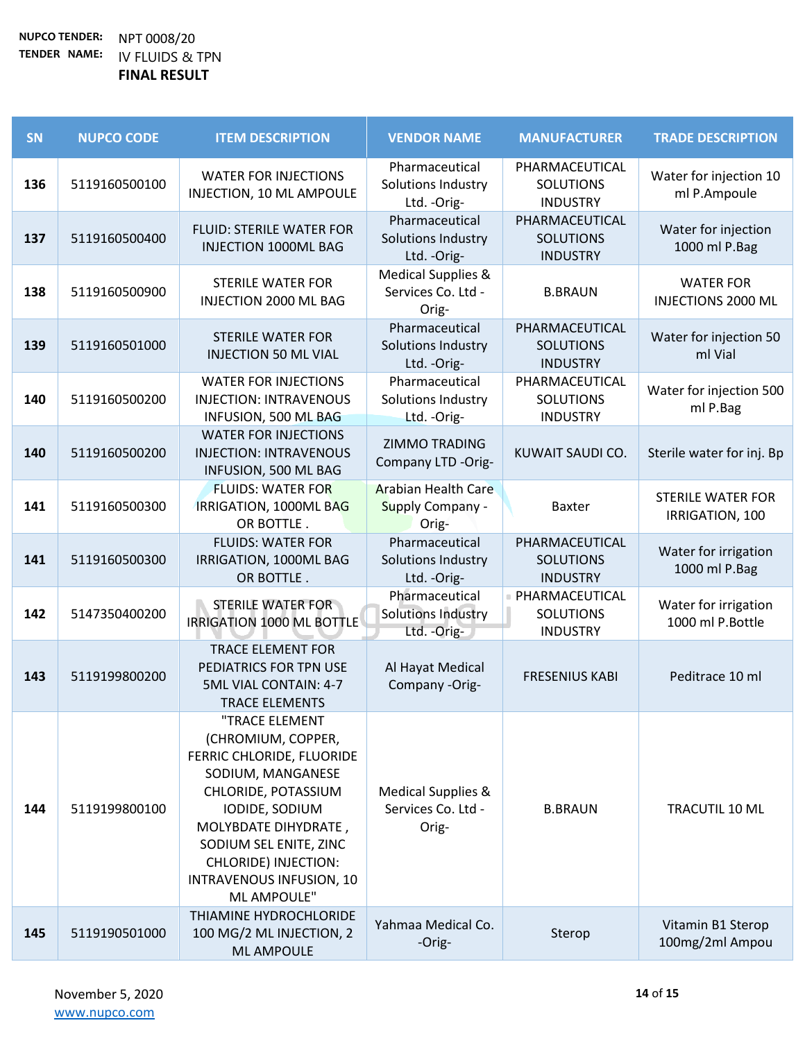| SN  | <b>NUPCO CODE</b> | <b>ITEM DESCRIPTION</b>                                                                                                                                                                                                                              | <b>VENDOR NAME</b>                                             | <b>MANUFACTURER</b>                                     | <b>TRADE DESCRIPTION</b>                      |
|-----|-------------------|------------------------------------------------------------------------------------------------------------------------------------------------------------------------------------------------------------------------------------------------------|----------------------------------------------------------------|---------------------------------------------------------|-----------------------------------------------|
| 136 | 5119160500100     | <b>WATER FOR INJECTIONS</b><br>INJECTION, 10 ML AMPOULE                                                                                                                                                                                              | Pharmaceutical<br>Solutions Industry<br>Ltd. - Orig-           | PHARMACEUTICAL<br><b>SOLUTIONS</b><br><b>INDUSTRY</b>   | Water for injection 10<br>ml P.Ampoule        |
| 137 | 5119160500400     | <b>FLUID: STERILE WATER FOR</b><br><b>INJECTION 1000ML BAG</b>                                                                                                                                                                                       | Pharmaceutical<br>Solutions Industry<br>Ltd. - Orig-           | PHARMACEUTICAL<br><b>SOLUTIONS</b><br><b>INDUSTRY</b>   | Water for injection<br>1000 ml P.Bag          |
| 138 | 5119160500900     | <b>STERILE WATER FOR</b><br><b>INJECTION 2000 ML BAG</b>                                                                                                                                                                                             | <b>Medical Supplies &amp;</b><br>Services Co. Ltd -<br>Orig-   | <b>B.BRAUN</b>                                          | <b>WATER FOR</b><br><b>INJECTIONS 2000 ML</b> |
| 139 | 5119160501000     | <b>STERILE WATER FOR</b><br><b>INJECTION 50 ML VIAL</b>                                                                                                                                                                                              | Pharmaceutical<br>Solutions Industry<br>Ltd. - Orig-           | PHARMACEUTICAL<br><b>SOLUTIONS</b><br><b>INDUSTRY</b>   | Water for injection 50<br>ml Vial             |
| 140 | 5119160500200     | <b>WATER FOR INJECTIONS</b><br><b>INJECTION: INTRAVENOUS</b><br>INFUSION, 500 ML BAG                                                                                                                                                                 | Pharmaceutical<br>Solutions Industry<br>Ltd. - Orig-           | PHARMACEUTICAL<br><b>SOLUTIONS</b><br><b>INDUSTRY</b>   | Water for injection 500<br>ml P.Bag           |
| 140 | 5119160500200     | <b>WATER FOR INJECTIONS</b><br><b>INJECTION: INTRAVENOUS</b><br>INFUSION, 500 ML BAG                                                                                                                                                                 | <b>ZIMMO TRADING</b><br>Company LTD -Orig-                     | KUWAIT SAUDI CO.                                        | Sterile water for inj. Bp                     |
| 141 | 5119160500300     | <b>FLUIDS: WATER FOR</b><br>IRRIGATION, 1000ML BAG<br>OR BOTTLE.                                                                                                                                                                                     | <b>Arabian Health Care</b><br><b>Supply Company -</b><br>Orig- | <b>Baxter</b>                                           | <b>STERILE WATER FOR</b><br>IRRIGATION, 100   |
| 141 | 5119160500300     | <b>FLUIDS: WATER FOR</b><br>IRRIGATION, 1000ML BAG<br>OR BOTTLE.                                                                                                                                                                                     | Pharmaceutical<br>Solutions Industry<br>Ltd. - Orig-           | PHARMACEUTICAL<br><b>SOLUTIONS</b><br><b>INDUSTRY</b>   | Water for irrigation<br>1000 ml P.Bag         |
| 142 | 5147350400200     | <b>STERILE WATER FOR</b><br>IRRIGATION 1000 ML BOTTLE                                                                                                                                                                                                | Pharmaceutical<br><b>Solutions Industry</b><br>Ltd. - Orig-    | ■ PHARMACEUTICAL<br><b>SOLUTIONS</b><br><b>INDUSTRY</b> | Water for irrigation<br>1000 ml P.Bottle      |
| 143 | 5119199800200     | <b>TRACE ELEMENT FOR</b><br>PEDIATRICS FOR TPN USE<br>5ML VIAL CONTAIN: 4-7<br><b>TRACE ELEMENTS</b>                                                                                                                                                 | Al Hayat Medical<br>Company -Orig-                             | <b>FRESENIUS KABI</b>                                   | Peditrace 10 ml                               |
| 144 | 5119199800100     | "TRACE ELEMENT<br>(CHROMIUM, COPPER,<br>FERRIC CHLORIDE, FLUORIDE<br>SODIUM, MANGANESE<br>CHLORIDE, POTASSIUM<br>IODIDE, SODIUM<br>MOLYBDATE DIHYDRATE,<br>SODIUM SEL ENITE, ZINC<br>CHLORIDE) INJECTION:<br>INTRAVENOUS INFUSION, 10<br>ML AMPOULE" | <b>Medical Supplies &amp;</b><br>Services Co. Ltd -<br>Orig-   | <b>B.BRAUN</b>                                          | TRACUTIL 10 ML                                |
| 145 | 5119190501000     | THIAMINE HYDROCHLORIDE<br>100 MG/2 ML INJECTION, 2<br><b>ML AMPOULE</b>                                                                                                                                                                              | Yahmaa Medical Co.<br>-Orig-                                   | Sterop                                                  | Vitamin B1 Sterop<br>100mg/2ml Ampou          |